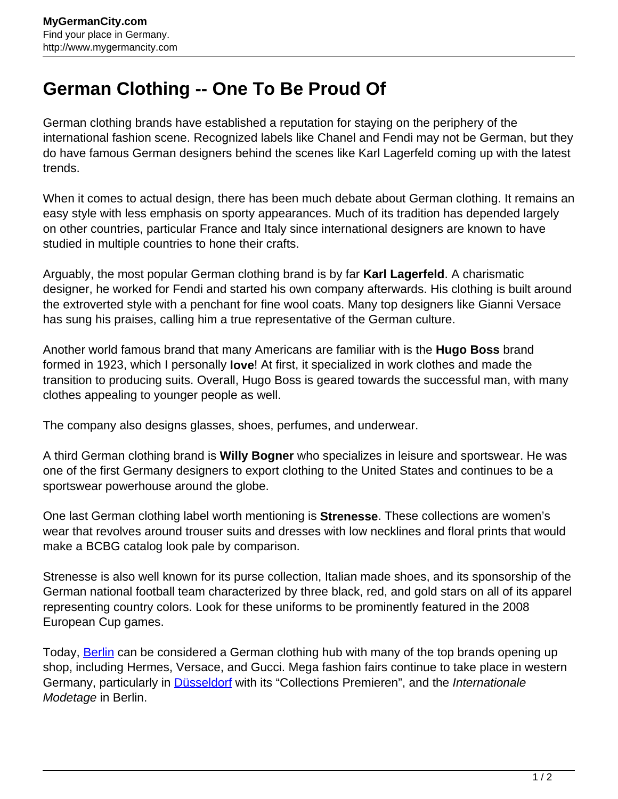## **German Clothing -- One To Be Proud Of**

German clothing brands have established a reputation for staying on the periphery of the international fashion scene. Recognized labels like Chanel and Fendi may not be German, but they do have famous German designers behind the scenes like Karl Lagerfeld coming up with the latest trends.

When it comes to actual design, there has been much debate about German clothing. It remains an easy style with less emphasis on sporty appearances. Much of its tradition has depended largely on other countries, particular France and Italy since international designers are known to have studied in multiple countries to hone their crafts.

Arguably, the most popular German clothing brand is by far **Karl Lagerfeld**. A charismatic designer, he worked for Fendi and started his own company afterwards. His clothing is built around the extroverted style with a penchant for fine wool coats. Many top designers like Gianni Versace has sung his praises, calling him a true representative of the German culture.

Another world famous brand that many Americans are familiar with is the **Hugo Boss** brand formed in 1923, which I personally **love**! At first, it specialized in work clothes and made the transition to producing suits. Overall, Hugo Boss is geared towards the successful man, with many clothes appealing to younger people as well.

The company also designs glasses, shoes, perfumes, and underwear.

A third German clothing brand is **Willy Bogner** who specializes in leisure and sportswear. He was one of the first Germany designers to export clothing to the United States and continues to be a sportswear powerhouse around the globe.

One last German clothing label worth mentioning is **Strenesse**. These collections are women's wear that revolves around trouser suits and dresses with low necklines and floral prints that would make a BCBG catalog look pale by comparison.

Strenesse is also well known for its purse collection, Italian made shoes, and its sponsorship of the German national football team characterized by three black, red, and gold stars on all of its apparel representing country colors. Look for these uniforms to be prominently featured in the 2008 European Cup games.

Today, **[Berlin](http://www.mygermancity.com/berlin)** can be considered a German clothing hub with many of the top brands opening up shop, including Hermes, Versace, and Gucci. Mega fashion fairs continue to take place in western Germany, particularly in **Düsseldorf** with its "Collections Premieren", and the *Internationale* Modetage in Berlin.